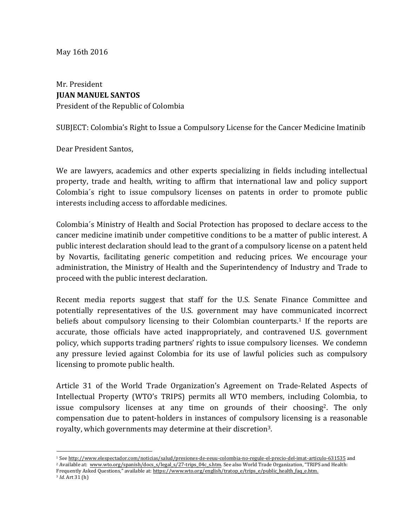Mr. President **JUAN MANUEL SANTOS** President of the Republic of Colombia

SUBJECT: Colombia's Right to Issue a Compulsory License for the Cancer Medicine Imatinib

Dear President Santos.

We are lawyers, academics and other experts specializing in fields including intellectual property, trade and health, writing to affirm that international law and policy support Colombia's right to issue compulsory licenses on patents in order to promote public interests including access to affordable medicines.

Colombia's Ministry of Health and Social Protection has proposed to declare access to the cancer medicine imatinib under competitive conditions to be a matter of public interest. A public interest declaration should lead to the grant of a compulsory license on a patent held by Novartis, facilitating generic competition and reducing prices. We encourage your administration, the Ministry of Health and the Superintendency of Industry and Trade to proceed with the public interest declaration.

Recent media reports suggest that staff for the U.S. Senate Finance Committee and potentially representatives of the U.S. government may have communicated incorrect beliefs about compulsory licensing to their Colombian counterparts.<sup>1</sup> If the reports are accurate, those officials have acted inappropriately, and contravened U.S. government policy, which supports trading partners' rights to issue compulsory licenses. We condemn any pressure levied against Colombia for its use of lawful policies such as compulsory licensing to promote public health.

Article 31 of the World Trade Organization's Agreement on Trade-Related Aspects of Intellectual Property (WTO's TRIPS) permits all WTO members, including Colombia, to issue compulsory licenses at any time on grounds of their choosing<sup>2</sup>. The only compensation due to patent-holders in instances of compulsory licensing is a reasonable royalty, which governments may determine at their discretion<sup>3</sup>.

<sup>2</sup> Available at: www.wto.org/spanish/docs\_s/legal\_s/27-trips\_04c\_s.htm. See also World Trade Organization, "TRIPS and Health: Frequently Asked Questions," available at: https://www.wto.org/english/tratop\_e/trips\_e/public\_health\_faq\_e.htm.

<sup>1</sup> See http://www.elespectador.com/noticias/salud/presiones-de-eeuu-colombia-no-regule-el-precio-del-imat-articulo-631535 and

<sup>&</sup>lt;sup>3</sup> *Id.* Art 31 (h)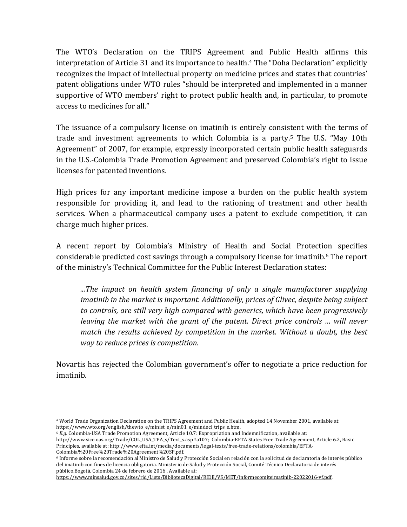The WTO's Declaration on the TRIPS Agreement and Public Health affirms this interpretation of Article 31 and its importance to health.<sup>4</sup> The "Doha Declaration" explicitly recognizes the impact of intellectual property on medicine prices and states that countries' patent obligations under WTO rules "should be interpreted and implemented in a manner supportive of WTO members' right to protect public health and, in particular, to promote access to medicines for all."

The issuance of a compulsory license on imatinib is entirely consistent with the terms of trade and investment agreements to which Colombia is a party.<sup>5</sup> The U.S. "May 10th Agreement" of 2007, for example, expressly incorporated certain public health safeguards in the U.S.-Colombia Trade Promotion Agreement and preserved Colombia's right to issue licenses for patented inventions.

High prices for any important medicine impose a burden on the public health system responsible for providing it, and lead to the rationing of treatment and other health services. When a pharmaceutical company uses a patent to exclude competition, it can charge much higher prices.

A recent report by Colombia's Ministry of Health and Social Protection specifies considerable predicted cost savings through a compulsory license for imatinib.<sup>6</sup> The report of the ministry's Technical Committee for the Public Interest Declaration states:

*...The impact on health system financing of only a single manufacturer supplying imatinib* in the market is important. Additionally, prices of Glivec, despite being subject to controls, are still very high compared with generics, which have been progressively *leaving the market with the grant of the patent. Direct price controls ... will never match the results achieved by competition in the market. Without a doubt, the best way to reduce prices is competition.*

Novartis has rejected the Colombian government's offer to negotiate a price reduction for imatinib. 

<sup>&</sup>lt;sup>4</sup> World Trade Organization Declaration on the TRIPS Agreement and Public Health, adopted 14 November 2001, available at: https://www.wto.org/english/thewto\_e/minist\_e/min01\_e/mindecl\_trips\_e.htm.

<sup>&</sup>lt;sup>5</sup> *E.g.* Colombia-USA Trade Promotion Agreement, Article 10.7: Expropriation and Indemnification, available at:

http://www.sice.oas.org/Trade/COL\_USA\_TPA\_s/Text\_s.asp#a107; Colombia-EFTA States Free Trade Agreement, Article 6.2, Basic Principles, available at: http://www.efta.int/media/documents/legal-texts/free-trade-relations/colombia/EFTA-Colombia%20Free%20Trade%20Agreement%20SP.pdf.

<sup>&</sup>lt;sup>6</sup> Informe sobre la recomendación al Ministro de Salud y Protección Social en relación con la solicitud de declaratoria de interés público del imatinib con fines de licencia obligatoria. Ministerio de Salud y Protección Social, Comité Técnico Declaratoria de interés público.Bogotá, Colombia 24 de febrero de 2016 . Available at:

https://www.minsalud.gov.co/sites/rid/Lists/BibliotecaDigital/RIDE/VS/MET/informecomiteimatinib-22022016-vf.pdf.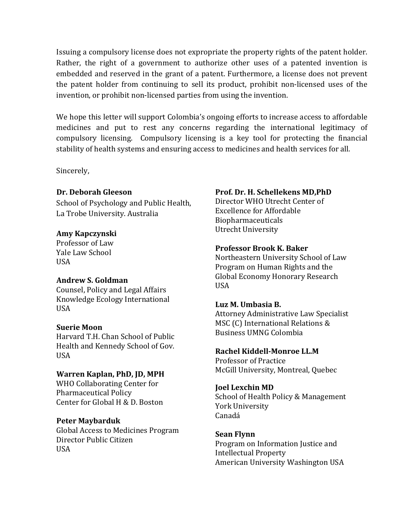Issuing a compulsory license does not expropriate the property rights of the patent holder. Rather, the right of a government to authorize other uses of a patented invention is embedded and reserved in the grant of a patent. Furthermore, a license does not prevent the patent holder from continuing to sell its product, prohibit non-licensed uses of the invention, or prohibit non-licensed parties from using the invention.

We hope this letter will support Colombia's ongoing efforts to increase access to affordable medicines and put to rest any concerns regarding the international legitimacy of compulsory licensing. Compulsory licensing is a key tool for protecting the financial stability of health systems and ensuring access to medicines and health services for all.

Sincerely,

# **Dr. Deborah Gleeson**

School of Psychology and Public Health, La Trobe University. Australia

# **Amy Kapczynski**

Professor of Law Yale Law School USA

# **Andrew S. Goldman**

Counsel, Policy and Legal Affairs Knowledge Ecology International USA

# **Suerie Moon**

Harvard T.H. Chan School of Public Health and Kennedy School of Gov. USA

# **Warren Kaplan, PhD, JD, MPH**

WHO Collaborating Center for Pharmaceutical Policy Center for Global H & D. Boston

# **Peter Maybarduk**

Global Access to Medicines Program Director Public Citizen USA

# **Prof. Dr. H. Schellekens MD,PhD**

Director WHO Utrecht Center of Excellence for Affordable Biopharmaceuticals Utrecht University

# **Professor Brook K. Baker**

Northeastern University School of Law Program on Human Rights and the Global Economy Honorary Research USA

# **Luz M. Umbasia B.**

Attorney Administrative Law Specialist MSC (C) International Relations & Business UMNG Colombia

# **Rachel Kiddell-Monroe LL.M**

Professor of Practice McGill University, Montreal, Quebec

# **Joel Lexchin MD**

School of Health Policy & Management York University Canadá

# **Sean Flynn**

Program on Information Justice and Intellectual Property American University Washington USA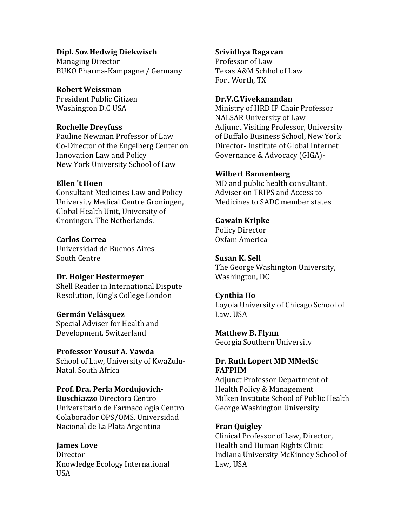# **Dipl. Soz Hedwig Diekwisch**

Managing Director BUKO Pharma-Kampagne / Germany

# **Robert Weissman**

President Public Citizen Washington D.C USA

# **Rochelle Dreyfuss**

Pauline Newman Professor of Law Co-Director of the Engelberg Center on Innovation Law and Policy New York University School of Law

# **Ellen 't Hoen**

Consultant Medicines Law and Policy University Medical Centre Groningen, Global Health Unit, University of Groningen. The Netherlands.

# **Carlos Correa**

Universidad de Buenos Aires South Centre

# **Dr. Holger Hestermeyer**

Shell Reader in International Dispute Resolution, King's College London

# **Germán Velásquez**

Special Adviser for Health and Development. Switzerland

# **Professor Yousuf A. Vawda**

School of Law, University of KwaZulu-Natal. South Africa

# **Prof. Dra. Perla Mordujovich-**

**Buschiazzo** Directora Centro Universitario de Farmacología Centro Colaborador OPS/OMS. Universidad Nacional de La Plata Argentina

# **James** Love

Director Knowledge Ecology International USA

# **Srividhya Ragavan**

Professor of Law Texas A&M Schhol of Law Fort Worth, TX

# **Dr.V.C.Vivekanandan**

Ministry of HRD IP Chair Professor NALSAR University of Law Adjunct Visiting Professor, University of Buffalo Business School, New York Director- Institute of Global Internet Governance & Advocacy (GIGA)-

# **Wilbert Bannenberg**

MD and public health consultant. Adviser on TRIPS and Access to Medicines to SADC member states

# **Gawain Kripke**

Policy Director Oxfam America

# **Susan K. Sell**

The George Washington University, Washington, DC

# **Cynthia Ho**

Loyola University of Chicago School of Law. USA

# **Matthew B. Flynn**

Georgia Southern University

# **Dr.** Ruth Lopert MD MMedSc **FAFPHM**

Adjunct Professor Department of Health Policy & Management Milken Institute School of Public Health George Washington University

# **Fran Quigley**

Clinical Professor of Law, Director, Health and Human Rights Clinic Indiana University McKinney School of Law, USA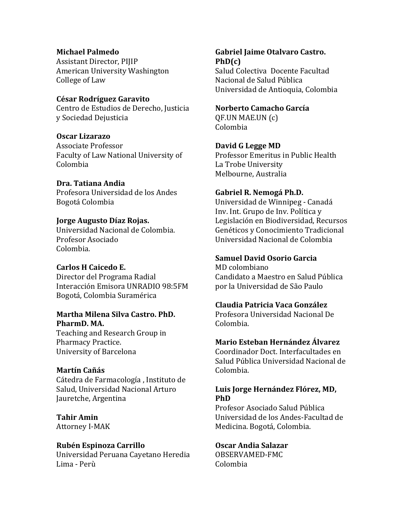#### **Michael Palmedo**

Assistant Director, PIJIP American University Washington College of Law

#### **César Rodríguez Garavito**

Centro de Estudios de Derecho, Justicia y Sociedad Dejusticia

#### **Oscar Lizarazo**

Associate Professor Faculty of Law National University of Colombia

#### **Dra. Tatiana Andia**

Profesora Universidad de los Andes Bogotá Colombia

# **Jorge Augusto Díaz Rojas.**

Universidad Nacional de Colombia. Profesor Asociado Colombia.

# **Carlos H Caicedo E.**

Director del Programa Radial Interacción Emisora UNRADIO 98:5FM Bogotá, Colombia Suramérica

# **Martha Milena Silva Castro. PhD.** PharmD. MA.

Teaching and Research Group in Pharmacy Practice. University of Barcelona

# **Martín Cañás**

Cátedra de Farmacología, Instituto de Salud, Universidad Nacional Arturo Jauretche, Argentina

**Tahir Amin** Attorney I-MAK

# **Rubén Espinoza Carrillo**

Universidad Peruana Cayetano Heredia Lima - Perù

#### **Gabriel Jaime Otalvaro Castro. PhD(c)**  Salud Colectiva Docente Facultad

Nacional de Salud Pública Universidad de Antioquia, Colombia

#### **Norberto Camacho García**

QF.UN MAE.UN (c) Colombia

# **David G Legge MD**

Professor Emeritus in Public Health La Trobe University Melbourne, Australia

#### **Gabriel R. Nemogá Ph.D.**

Universidad de Winnipeg - Canadá Inv. Int. Grupo de Inv. Política y Legislación en Biodiversidad, Recursos Genéticos y Conocimiento Tradicional Universidad Nacional de Colombia

# **Samuel David Osorio Garcia**

MD colombiano Candidato a Maestro en Salud Pública por la Universidad de São Paulo

# **Claudia Patricia Vaca González**

Profesora Universidad Nacional De Colombia.

# **Mario Esteban Hernández Álvarez**

Coordinador Doct. Interfacultades en Salud Pública Universidad Nacional de Colombia.

# Luis Jorge Hernández Flórez, MD, **PhD**

Profesor Asociado Salud Pública Universidad de los Andes-Facultad de Medicina. Bogotá, Colombia.

# **Oscar Andia Salazar**

OBSERVAMED-FMC Colombia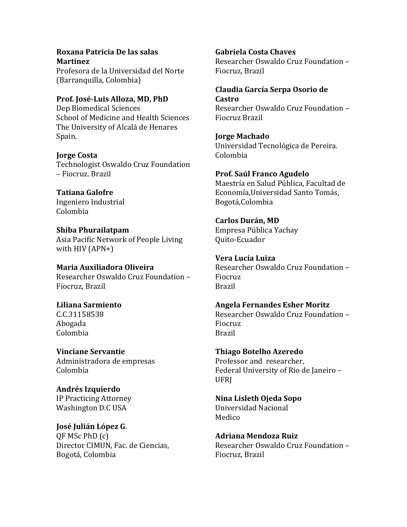# **Roxana Patricia De las salas Martínez**

Profesora de la Universidad del Norte (Barranquilla, Colombia)

Prof. José-Luis Alloza, MD, PhD Dep Biomedical Sciences School of Medicine and Health Sciences The University of Alcalá de Henares Spain.

**Jorge Costa** Technologist Oswaldo Cruz Foundation – Fiocruz. Brazil

**Tatiana Galofre** Ingeniero Industrial Colombia

**Shiba Phurailatpam** Asia Pacific Network of People Living with  $HIV$  (APN+)

**Maria Auxiliadora Oliveira** Researcher Oswaldo Cruz Foundation – Fiocruz, Brazil

**Liliana Sarmiento** C.C.31158538 Abogada Colombia

**Vinciane Servantie** Administradora de empresas Colombia

**Andrés Izquierdo** IP Practicing Attorney Washington D.C USA

**José Julián López G**. QF MSc PhD (c) Director CIMUN, Fac. de Ciencias, Bogotá, Colombia

**Gabriela Costa Chaves**

Researcher Oswaldo Cruz Foundation – Fiocruz, Brazil

**Claudia García Serpa Osorio de Castro**

Researcher Oswaldo Cruz Foundation – Fiocruz Brazil

**Jorge Machado** Universidad Tecnológica de Pereira. Colombia

**Prof. Saúl Franco Agudelo** Maestría en Salud Pública, Facultad de Economía, Universidad Santo Tomás, Bogotá,Colombia

**Carlos Durán, MD** Empresa Pública Yachay Quito-Ecuador

**Vera Lucia Luiza** Researcher Oswaldo Cruz Foundation -Fiocruz Brazil

**Angela Fernandes Esher Moritz** Researcher Oswaldo Cruz Foundation -Fiocruz Brazil

**Thiago Botelho Azeredo** Professor and researcher, Federal University of Rio de Janeiro -UFRJ

**Nina Lisleth Ojeda Sopo** Universidad Nacional Medico

**Adriana Mendoza Ruiz** Researcher Oswaldo Cruz Foundation -Fiocruz, Brazil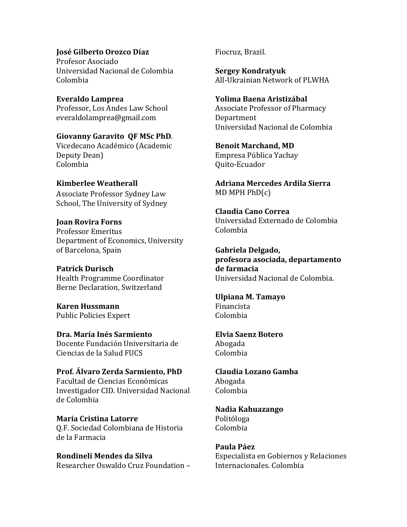**José Gilberto Orozco Díaz** Profesor Asociado Universidad Nacional de Colombia Colombia

**Everaldo Lamprea** Professor, Los Andes Law School everaldolamprea@gmail.com

**Giovanny Garavito QF MSc PhD**. Vicedecano Académico (Academic Deputy Dean) Colombia

# **Kimberlee Weatherall**

Associate Professor Sydney Law School, The University of Sydney

#### **Joan Rovira Forns**

Professor Emeritus Department of Economics, University of Barcelona, Spain

**Patrick Durisch** Health Programme Coordinator Berne Declaration, Switzerland

**Karen Hussmann** Public Policies Expert

**Dra. María Inés Sarmiento** Docente Fundación Universitaria de Ciencias de la Salud FUCS

**Prof. Álvaro Zerda Sarmiento, PhD** Facultad de Ciencias Económicas Investigador CID. Universidad Nacional de Colombia

**Maria Cristina Latorre** Q.F. Sociedad Colombiana de Historia de la Farmacia

**Rondineli Mendes da Silva** Researcher Oswaldo Cruz Foundation - Fiocruz, Brazil.

**Sergey Kondratyuk** All-Ukrainian Network of PLWHA

**Yolima Baena Aristizábal** Associate Professor of Pharmacy Department Universidad Nacional de Colombia

**Benoit Marchand, MD** Empresa Pública Yachay Quito-Ecuador

**Adriana Mercedes Ardila Sierra**   $MD$  MPH  $PhD(c)$ 

**Claudia Cano Correa** Universidad Externado de Colombia Colombia

**Gabriela Delgado, profesora asociada, departamento de farmacia** Universidad Nacional de Colombia.

**Ulpiana M. Tamayo** Financista Colombia

**Elvia Saenz Botero** Abogada Colombia

**Claudia Lozano Gamba** Abogada Colombia

**Nadia Kahuazango** Politóloga Colombia

**Paula Páez** Especialista en Gobiernos y Relaciones Internacionales. Colombia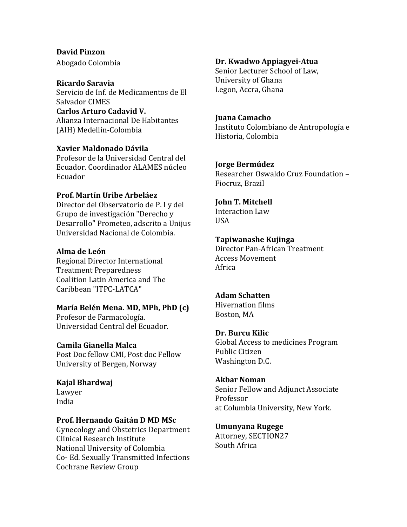# **David Pinzon**

Abogado Colombia

#### **Ricardo Saravia**

Servicio de Inf. de Medicamentos de El Salvador CIMES Carlos Arturo Cadavid V. Alianza Internacional De Habitantes (AIH) Medellín-Colombia

# **Xavier Maldonado Dávila**

Profesor de la Universidad Central del Ecuador. Coordinador ALAMES núcleo Ecuador

# **Prof. Martín Uribe Arbeláez**

Director del Observatorio de P. I y del Grupo de investigación "Derecho y Desarrollo" Prometeo, adscrito a Unijus Universidad Nacional de Colombia.

# **Alma de León**

Regional Director International Treatment Preparedness Coalition Latin America and The Caribbean "ITPC-LATCA"

# **María Belén Mena. MD, MPh, PhD (c)**

Profesor de Farmacología. Universidad Central del Ecuador.

# **Camila Gianella Malca**

Post Doc fellow CMI, Post doc Fellow University of Bergen, Norway

# **Kajal Bhardwaj** Lawyer

India

# **Prof. Hernando Gaitán D MD MSc**

Gynecology and Obstetrics Department Clinical Research Institute National University of Colombia Co- Ed. Sexually Transmitted Infections Cochrane Review Group

# **Dr. Kwadwo Appiagyei-Atua**

Senior Lecturer School of Law. University of Ghana Legon, Accra, Ghana

#### **Juana Camacho**

Instituto Colombiano de Antropología e Historia, Colombia

# **Jorge Bermúdez**

Researcher Oswaldo Cruz Foundation -Fiocruz, Brazil

# **John T. Mitchell**

Interaction Law USA

# **Tapiwanashe Kujinga**

Director Pan-African Treatment Access Movement Africa

# **Adam Schatten**

Hivernation films Boston, MA

# **Dr. Burcu Kilic**

Global Access to medicines Program Public Citizen Washington D.C.

# **Akbar Noman**

Senior Fellow and Adjunct Associate Professor at Columbia University, New York.

# **Umunyana Rugege**

Attorney, SECTION27 South Africa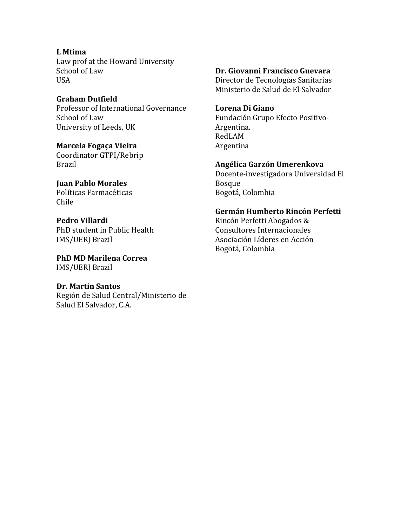**L Mtima** Law prof at the Howard University School of Law USA

**Graham Dutfield** Professor of International Governance School of Law University of Leeds, UK

**Marcela Fogaça Vieira** Coordinator GTPI/Rebrip Brazil

**Juan Pablo Morales** Políticas Farmacéticas Chile

**Pedro Villardi** PhD student in Public Health IMS/UERJ Brazil

**PhD MD Marilena Correa** IMS/UERJ Brazil

#### **Dr. Martin Santos** Región de Salud Central/Ministerio de

Salud El Salvador, C.A.

**Dr. Giovanni Francisco Guevara** Director de Tecnologías Sanitarias Ministerio de Salud de El Salvador

**Lorena Di Giano** Fundación Grupo Efecto Positivo-Argentina. RedLAM Argentina

**Angélica Garzón Umerenkova** Docente-investigadora Universidad El Bosque Bogotá, Colombia

**Germán Humberto Rincón Perfetti** Rincón Perfetti Abogados & Consultores Internacionales Asociación Líderes en Acción Bogotá, Colombia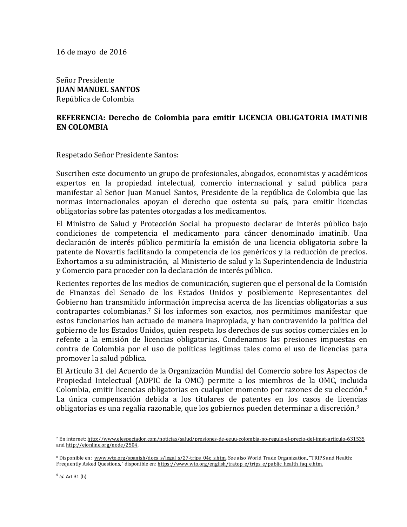16 de mayo de 2016

Señor Presidente **JUAN MANUEL SANTOS** República de Colombia

# REFERENCIA: Derecho de Colombia para emitir LICENCIA OBLIGATORIA IMATINIB **EN COLOMBIA**

Respetado Señor Presidente Santos:

Suscriben este documento un grupo de profesionales, abogados, economistas y académicos expertos en la propiedad intelectual, comercio internacional y salud pública para manifestar al Señor Juan Manuel Santos, Presidente de la república de Colombia que las normas internacionales apoyan el derecho que ostenta su país, para emitir licencias obligatorias sobre las patentes otorgadas a los medicamentos.

El Ministro de Salud y Protección Social ha propuesto declarar de interés público bajo condiciones de competencia el medicamento para cáncer denominado imatinib. Una declaración de interés público permitiría la emisión de una licencia obligatoria sobre la patente de Novartis facilitando la competencia de los genéricos y la reducción de precios. Exhortamos a su administración, al Ministerio de salud y la Superintendencia de Industria y Comercio para proceder con la declaración de interés público.

Recientes reportes de los medios de comunicación, sugieren que el personal de la Comisión de Finanzas del Senado de los Estados Unidos y posiblemente Representantes del Gobierno han transmitido información imprecisa acerca de las licencias obligatorias a sus contrapartes colombianas.<sup>7</sup> Si los informes son exactos, nos permitimos manifestar que estos funcionarios han actuado de manera inapropiada, y han contravenido la política del gobierno de los Estados Unidos, quien respeta los derechos de sus socios comerciales en lo refente a la emisión de licencias obligatorias. Condenamos las presiones impuestas en contra de Colombia por el uso de políticas legítimas tales como el uso de licencias para promover la salud pública.

El Artículo 31 del Acuerdo de la Organización Mundial del Comercio sobre los Aspectos de Propiedad Intelectual (ADPIC de la OMC) permite a los miembros de la OMC, incluida Colombia, emitir licencias obligatorias en cualquier momento por razones de su elección.<sup>8</sup> La única compensación debida a los titulares de patentes en los casos de licencias obligatorias es una regalía razonable, que los gobiernos pueden determinar a discreción.<sup>9</sup>

<sup>&</sup>lt;sup>7</sup> En internet: http://www.elespectador.com/noticias/salud/presiones-de-eeuu-colombia-no-regule-el-precio-del-imat-articulo-631535 and http://eionline.org/node/2504.

<sup>8</sup> Disponible en: www.wto.org/spanish/docs\_s/legal\_s/27-trips\_04c\_s.htm. See also World Trade Organization, "TRIPS and Health: Frequently Asked Questions," disponible en: https://www.wto.org/english/tratop e/trips e/public health faq e.htm.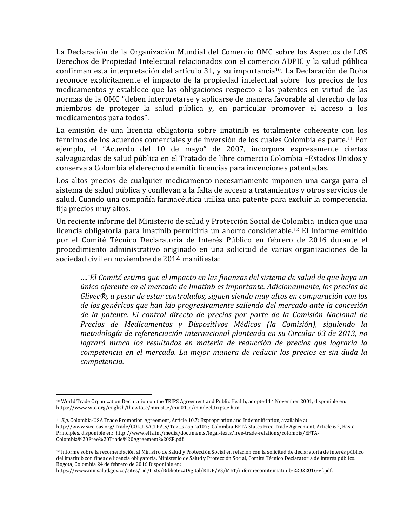La Declaración de la Organización Mundial del Comercio OMC sobre los Aspectos de LOS Derechos de Propiedad Intelectual relacionados con el comercio ADPIC y la salud pública confirman esta interpretación del artículo 31, y su importancia<sup>10</sup>. La Declaración de Doha reconoce explícitamente el impacto de la propiedad intelectual sobre los precios de los medicamentos y establece que las obligaciones respecto a las patentes en virtud de las normas de la OMC "deben interpretarse y aplicarse de manera favorable al derecho de los miembros de proteger la salud pública y, en particular promover el acceso a los medicamentos para todos".

La emisión de una licencia obligatoria sobre imatinib es totalmente coherente con los términos de los acuerdos comerciales y de inversión de los cuales Colombia es parte.<sup>11</sup> Por ejemplo, el "Acuerdo del 10 de mayo" de 2007, incorpora expresamente ciertas salvaguardas de salud pública en el Tratado de libre comercio Colombia – Estados Unidos y conserva a Colombia el derecho de emitir licencias para invenciones patentadas.

Los altos precios de cualquier medicamento necesariamente imponen una carga para el sistema de salud pública y conllevan a la falta de acceso a tratamientos y otros servicios de salud. Cuando una compañía farmacéutica utiliza una patente para excluir la competencia, fija precios muy altos.

Un reciente informe del Ministerio de salud y Protección Social de Colombia indica que una licencia obligatoria para imatinib permitiría un ahorro considerable.<sup>12</sup> El Informe emitido por el Comité Técnico Declaratoria de Interés Público en febrero de 2016 durante el procedimiento administrativo originado en una solicitud de varias organizaciones de la sociedad civil en noviembre de 2014 manifiesta:

*….¨El Comité estima que el impacto en las finanzas del sistema de salud de que haya un único oferente en el mercado de Imatinb es importante. Adicionalmente, los precios de Glivec<sup>®</sup>, a pesar de estar controlados, siguen siendo muy altos en comparación con los* de los genéricos que han ido progresivamente saliendo del mercado ante la concesión de la patente. El control directo de precios por parte de la Comisión Nacional de *Precios de Medicamentos y Dispositivos Médicos (la Comisión), siguiendo la metodología de referenciación internacional planteada en su Circular 03 de 2013, no*  logrará nunca los resultados en materia de reducción de precios que lograría la *competencia en el mercado. La mejor manera de reducir los precios es sin duda la competencia.*

<sup>&</sup>lt;sup>10</sup> World Trade Organization Declaration on the TRIPS Agreement and Public Health, adopted 14 November 2001, disponible en: https://www.wto.org/english/thewto\_e/minist\_e/min01\_e/mindecl\_trips\_e.htm.

<sup>&</sup>lt;sup>11</sup> *E.g.* Colombia-USA Trade Promotion Agreement, Article 10.7: Expropriation and Indemnification, available at: http://www.sice.oas.org/Trade/COL\_USA\_TPA\_s/Text\_s.asp#a107; Colombia-EFTA States Free Trade Agreement, Article 6.2, Basic Principles, disponible en: http://www.efta.int/media/documents/legal-texts/free-trade-relations/colombia/EFTA-Colombia%20Free%20Trade%20Agreement%20SP.pdf.

<sup>&</sup>lt;sup>12</sup> Informe sobre la recomendación al Ministro de Salud y Protección Social en relación con la solicitud de declaratoria de interés público del imatinib con fines de licencia obligatoria. Ministerio de Salud y Protección Social, Comité Técnico Declaratoria de interés público. Bogotá, Colombia 24 de febrero de 2016 Disponible en:

https://www.minsalud.gov.co/sites/rid/Lists/BibliotecaDigital/RIDE/VS/MET/informecomiteimatinib-22022016-vf.pdf.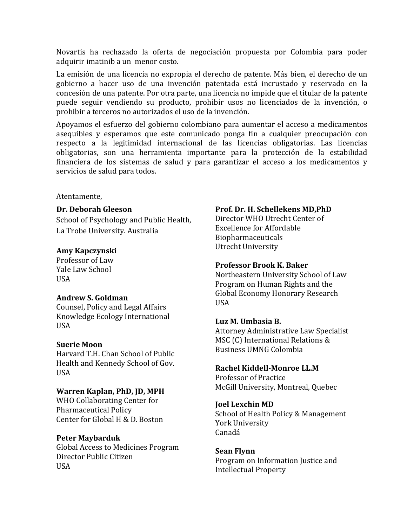Novartis ha rechazado la oferta de negociación propuesta por Colombia para poder adquirir imatinib a un menor costo.

La emisión de una licencia no expropia el derecho de patente. Más bien, el derecho de un gobierno a hacer uso de una invención patentada está incrustado y reservado en la concesión de una patente. Por otra parte, una licencia no impide que el titular de la patente puede seguir vendiendo su producto, prohibir usos no licenciados de la invención, o prohibir a terceros no autorizados el uso de la invención.

Apoyamos el esfuerzo del gobierno colombiano para aumentar el acceso a medicamentos asequibles y esperamos que este comunicado ponga fin a cualquier preocupación con respecto a la legitimidad internacional de las licencias obligatorias. Las licencias obligatorias, son una herramienta importante para la protección de la estabilidad financiera de los sistemas de salud y para garantizar el acceso a los medicamentos y servicios de salud para todos.

Atentamente, 

#### **Dr. Deborah Gleeson**

School of Psychology and Public Health, La Trobe University. Australia

# **Amy Kapczynski**

Professor of Law Yale Law School USA

#### **Andrew S. Goldman**

Counsel, Policy and Legal Affairs Knowledge Ecology International USA

#### **Suerie Moon**

Harvard T.H. Chan School of Public Health and Kennedy School of Gov. USA

# **Warren Kaplan, PhD, JD, MPH**

WHO Collaborating Center for Pharmaceutical Policy Center for Global H & D. Boston

#### **Peter Maybarduk**

Global Access to Medicines Program Director Public Citizen USA

#### **Prof. Dr. H. Schellekens MD,PhD**

Director WHO Utrecht Center of Excellence for Affordable Biopharmaceuticals Utrecht University

#### **Professor Brook K. Baker**

Northeastern University School of Law Program on Human Rights and the Global Economy Honorary Research USA

# **Luz M. Umbasia B.**

Attorney Administrative Law Specialist MSC (C) International Relations & Business UMNG Colombia

#### **Rachel Kiddell-Monroe LL.M**

Professor of Practice McGill University, Montreal, Quebec

#### **Joel Lexchin MD**

School of Health Policy & Management York University Canadá

#### **Sean Flynn**

Program on Information Justice and Intellectual Property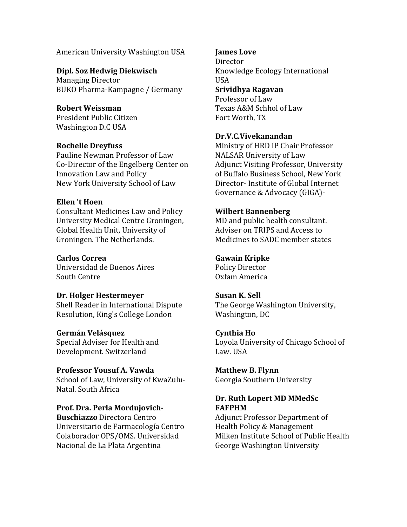American University Washington USA

**Dipl. Soz Hedwig Diekwisch Managing Director** BUKO Pharma-Kampagne / Germany

**Robert Weissman** President Public Citizen Washington D.C USA

# **Rochelle Dreyfuss**

Pauline Newman Professor of Law Co-Director of the Engelberg Center on Innovation Law and Policy New York University School of Law

#### **Ellen 't Hoen**

Consultant Medicines Law and Policy University Medical Centre Groningen, Global Health Unit, University of Groningen. The Netherlands.

#### **Carlos Correa**

Universidad de Buenos Aires South Centre

#### **Dr. Holger Hestermeyer**

Shell Reader in International Dispute Resolution, King's College London

#### **Germán Velásquez**

Special Adviser for Health and Development. Switzerland

**Professor Yousuf A. Vawda** School of Law, University of KwaZulu-Natal. South Africa

Prof. Dra. Perla Mordujovich-**Buschiazzo** Directora Centro Universitario de Farmacología Centro Colaborador OPS/OMS. Universidad Nacional de La Plata Argentina

#### *<u>Iames Love</u>*

**Director** Knowledge Ecology International USA **Srividhya Ragavan** Professor of Law Texas A&M Schhol of Law Fort Worth, TX

# **Dr.V.C.Vivekanandan**

Ministry of HRD IP Chair Professor NALSAR University of Law Adjunct Visiting Professor, University of Buffalo Business School, New York Director- Institute of Global Internet Governance & Advocacy (GIGA)-

#### **Wilbert Bannenberg**

MD and public health consultant. Adviser on TRIPS and Access to Medicines to SADC member states

#### **Gawain Kripke**

Policy Director Oxfam America

# **Susan K. Sell**

The George Washington University, Washington, DC

#### **Cynthia Ho**

Loyola University of Chicago School of Law. USA

**Matthew B. Flynn**  Georgia Southern University

# Dr. Ruth Lopert MD MMedSc **FAFPHM**

Adjunct Professor Department of Health Policy & Management Milken Institute School of Public Health George Washington University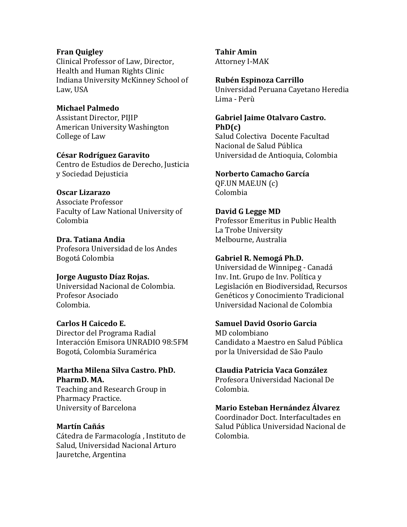#### **Fran Quigley**

Clinical Professor of Law, Director, Health and Human Rights Clinic Indiana University McKinney School of Law, USA

#### **Michael Palmedo** Assistant Director, PIIIP American University Washington College of Law

#### **César Rodríguez Garavito**

Centro de Estudios de Derecho, Justicia y Sociedad Dejusticia

#### **Oscar Lizarazo**

Associate Professor Faculty of Law National University of Colombia

#### **Dra. Tatiana Andia**

Profesora Universidad de los Andes Bogotá Colombia

# **Jorge Augusto Díaz Rojas.**

Universidad Nacional de Colombia. Profesor Asociado Colombia.

# **Carlos H Caicedo E.**

Director del Programa Radial Interacción Emisora UNRADIO 98:5FM Bogotá, Colombia Suramérica

#### **Martha Milena Silva Castro. PhD.** PharmD. MA.

Teaching and Research Group in Pharmacy Practice. University of Barcelona

# **Martín Cañás**

Cátedra de Farmacología, Instituto de Salud, Universidad Nacional Arturo Jauretche, Argentina

# **Tahir Amin**

Attorney I-MAK

#### **Rubén Espinoza Carrillo**

Universidad Peruana Cayetano Heredia Lima - Perù

# **Gabriel Jaime Otalvaro Castro. PhD(c)**

Salud Colectiva Docente Facultad Nacional de Salud Pública Universidad de Antioquia, Colombia

#### **Norberto Camacho García**

QF.UN MAE.UN (c) Colombia

# **David G Legge MD**

Professor Emeritus in Public Health La Trobe University Melbourne, Australia

# **Gabriel R. Nemogá Ph.D.**

Universidad de Winnipeg - Canadá Inv. Int. Grupo de Inv. Política y Legislación en Biodiversidad, Recursos Genéticos y Conocimiento Tradicional Universidad Nacional de Colombia

#### **Samuel David Osorio Garcia**

MD colombiano Candidato a Maestro en Salud Pública por la Universidad de São Paulo

# **Claudia Patricia Vaca González**

Profesora Universidad Nacional De Colombia.

# **Mario Esteban Hernández Álvarez**

Coordinador Doct. Interfacultades en Salud Pública Universidad Nacional de Colombia.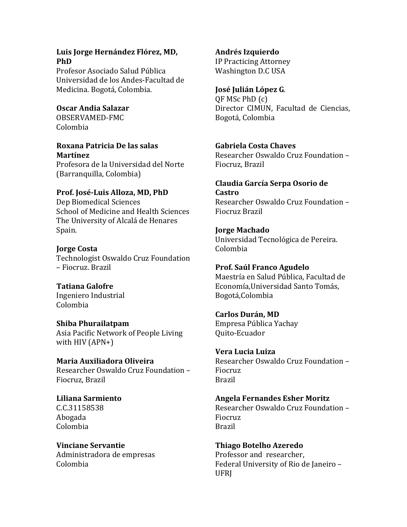#### Luis Jorge Hernández Flórez, MD, **PhD**

Profesor Asociado Salud Pública Universidad de los Andes-Facultad de Medicina. Bogotá, Colombia.

**Oscar Andia Salazar** OBSERVAMED-FMC Colombia

#### **Roxana Patricia De las salas Martínez**

Profesora de la Universidad del Norte (Barranquilla, Colombia) 

# Prof. José-Luis Alloza, MD, PhD

Dep Biomedical Sciences School of Medicine and Health Sciences The University of Alcalá de Henares Spain.

**Jorge Costa** Technologist Oswaldo Cruz Foundation – Fiocruz. Brazil

**Tatiana Galofre** Ingeniero Industrial Colombia

**Shiba Phurailatpam** Asia Pacific Network of People Living with  $HIV$  (APN+)

**Maria Auxiliadora Oliveira** Researcher Oswaldo Cruz Foundation -Fiocruz, Brazil

**Liliana Sarmiento** C.C.31158538 Abogada Colombia

**Vinciane Servantie** Administradora de empresas Colombia

**Andrés Izquierdo**

IP Practicing Attorney Washington D.C USA

# **José Julián López G**.

QF MSc PhD (c) Director CIMUN, Facultad de Ciencias, Bogotá, Colombia

# **Gabriela Costa Chaves**

Researcher Oswaldo Cruz Foundation – Fiocruz, Brazil

# **Claudia García Serpa Osorio de Castro**

Researcher Oswaldo Cruz Foundation -Fiocruz Brazil

# **Jorge Machado**

Universidad Tecnológica de Pereira. Colombia

#### **Prof. Saúl Franco Agudelo**

Maestría en Salud Pública, Facultad de Economía, Universidad Santo Tomás, Bogotá,Colombia

# **Carlos Durán, MD**

Empresa Pública Yachay Quito-Ecuador

**Vera Lucia Luiza**

Researcher Oswaldo Cruz Foundation -Fiocruz Brazil

# **Angela Fernandes Esher Moritz**

Researcher Oswaldo Cruz Foundation – Fiocruz Brazil

**Thiago Botelho Azeredo** Professor and researcher. Federal University of Rio de Janeiro -UFRJ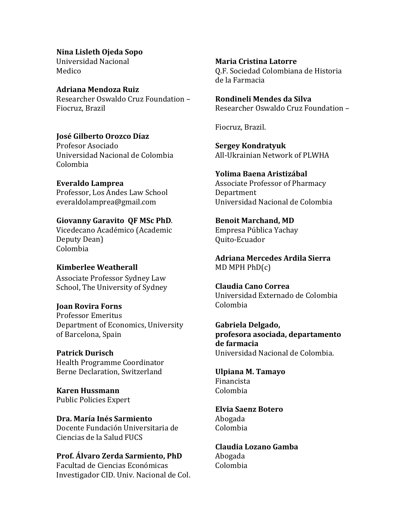**Nina Lisleth Ojeda Sopo**

Universidad Nacional Medico

**Adriana Mendoza Ruiz** Researcher Oswaldo Cruz Foundation -Fiocruz, Brazil

**José Gilberto Orozco Díaz** Profesor Asociado Universidad Nacional de Colombia Colombia

**Everaldo Lamprea** Professor, Los Andes Law School everaldolamprea@gmail.com

**Giovanny Garavito QF MSc PhD**. Vicedecano Académico (Academic Deputy Dean) Colombia

# **Kimberlee Weatherall**

Associate Professor Sydney Law School, The University of Sydney

**Joan Rovira Forns** Professor Emeritus Department of Economics, University of Barcelona, Spain

**Patrick Durisch** Health Programme Coordinator Berne Declaration, Switzerland

**Karen Hussmann** Public Policies Expert

**Dra. María Inés Sarmiento** Docente Fundación Universitaria de Ciencias de la Salud FUCS

**Prof. Álvaro Zerda Sarmiento, PhD** Facultad de Ciencias Económicas Investigador CID. Univ. Nacional de Col. **Maria Cristina Latorre** Q.F. Sociedad Colombiana de Historia de la Farmacia

**Rondineli Mendes da Silva** Researcher Oswaldo Cruz Foundation –

Fiocruz, Brazil.

**Sergey Kondratyuk** All-Ukrainian Network of PLWHA

**Yolima Baena Aristizábal** Associate Professor of Pharmacy Department Universidad Nacional de Colombia

**Benoit Marchand, MD** Empresa Pública Yachay Quito-Ecuador

**Adriana Mercedes Ardila Sierra**   $MD$  MPH  $PhD(c)$ 

**Claudia Cano Correa** Universidad Externado de Colombia Colombia

**Gabriela Delgado, profesora asociada, departamento de farmacia** Universidad Nacional de Colombia.

**Ulpiana M. Tamayo** Financista Colombia

**Elvia Saenz Botero** Abogada Colombia

**Claudia Lozano Gamba** Abogada Colombia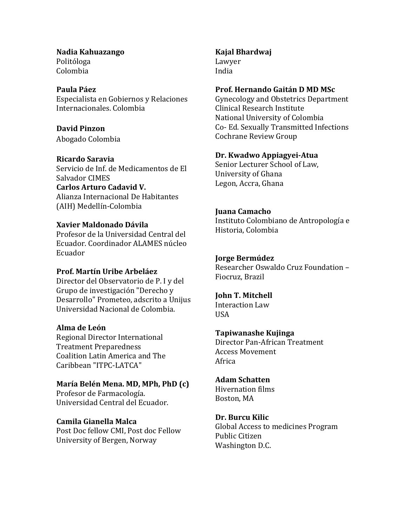**Nadia Kahuazango** Politóloga Colombia

#### **Paula Páez**

Especialista en Gobiernos y Relaciones Internacionales. Colombia

**David Pinzon**

Abogado Colombia

#### **Ricardo Saravia**

Servicio de Inf. de Medicamentos de El Salvador CIMES

**Carlos Arturo Cadavid V.** Alianza Internacional De Habitantes (AIH) Medellín-Colombia

# **Xavier Maldonado Dávila**

Profesor de la Universidad Central del Ecuador. Coordinador ALAMES núcleo Ecuador

#### **Prof. Martín Uribe Arbeláez**

Director del Observatorio de P. I y del Grupo de investigación "Derecho y Desarrollo" Prometeo, adscrito a Unijus Universidad Nacional de Colombia.

#### **Alma de León**

Regional Director International Treatment Preparedness Coalition Latin America and The Caribbean "ITPC-LATCA"

#### **María Belén Mena. MD, MPh, PhD (c)**

Profesor de Farmacología. Universidad Central del Ecuador.

# **Camila Gianella Malca**

Post Doc fellow CMI, Post doc Fellow University of Bergen, Norway

# **Kajal Bhardwaj**

Lawyer India

#### **Prof. Hernando Gaitán D MD MSc**

Gynecology and Obstetrics Department Clinical Research Institute National University of Colombia Co- Ed. Sexually Transmitted Infections Cochrane Review Group

#### **Dr. Kwadwo Appiagyei-Atua**

Senior Lecturer School of Law, University of Ghana Legon, Accra, Ghana

#### **Juana Camacho**

Instituto Colombiano de Antropología e Historia, Colombia

#### **Jorge Bermúdez**

Researcher Oswaldo Cruz Foundation -Fiocruz, Brazil

# **John T. Mitchell**

Interaction Law **USA** 

#### **Tapiwanashe Kujinga**

Director Pan-African Treatment Access Movement Africa

#### **Adam Schatten**

Hivernation films Boston, MA

# **Dr. Burcu Kilic**

Global Access to medicines Program Public Citizen Washington D.C.